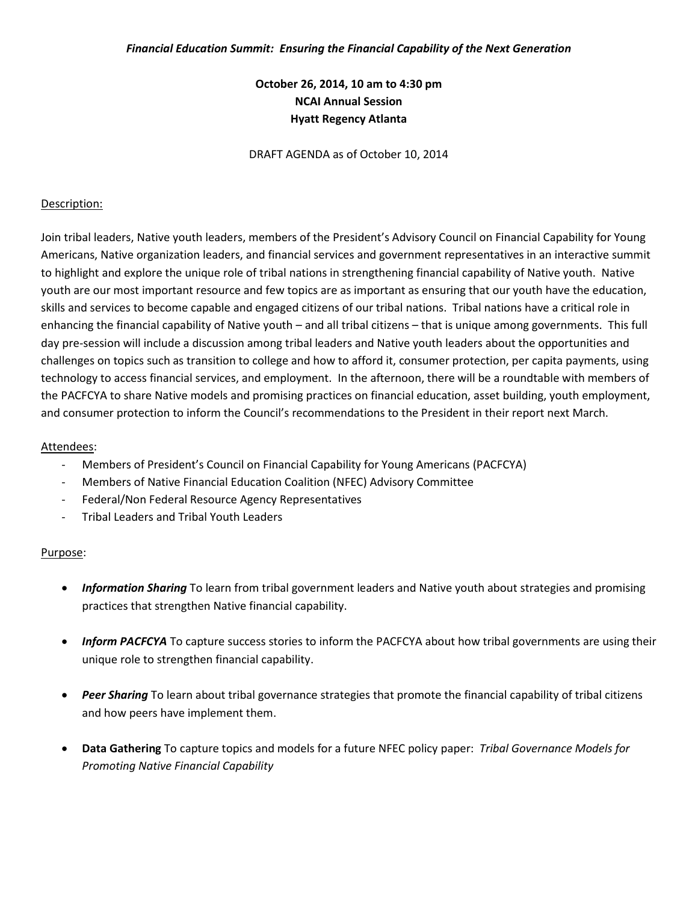## **October 26, 2014, 10 am to 4:30 pm NCAI Annual Session Hyatt Regency Atlanta**

DRAFT AGENDA as of October 10, 2014

#### Description:

Join tribal leaders, Native youth leaders, members of the President's Advisory Council on Financial Capability for Young Americans, Native organization leaders, and financial services and government representatives in an interactive summit to highlight and explore the unique role of tribal nations in strengthening financial capability of Native youth. Native youth are our most important resource and few topics are as important as ensuring that our youth have the education, skills and services to become capable and engaged citizens of our tribal nations. Tribal nations have a critical role in enhancing the financial capability of Native youth – and all tribal citizens – that is unique among governments. This full day pre-session will include a discussion among tribal leaders and Native youth leaders about the opportunities and challenges on topics such as transition to college and how to afford it, consumer protection, per capita payments, using technology to access financial services, and employment. In the afternoon, there will be a roundtable with members of the PACFCYA to share Native models and promising practices on financial education, asset building, youth employment, and consumer protection to inform the Council's recommendations to the President in their report next March.

#### Attendees:

- Members of President's Council on Financial Capability for Young Americans (PACFCYA)
- Members of Native Financial Education Coalition (NFEC) Advisory Committee
- Federal/Non Federal Resource Agency Representatives
- Tribal Leaders and Tribal Youth Leaders

#### Purpose:

- *Information Sharing* To learn from tribal government leaders and Native youth about strategies and promising practices that strengthen Native financial capability.
- *Inform PACFCYA* To capture success stories to inform the PACFCYA about how tribal governments are using their unique role to strengthen financial capability.
- *Peer Sharing* To learn about tribal governance strategies that promote the financial capability of tribal citizens and how peers have implement them.
- **Data Gathering** To capture topics and models for a future NFEC policy paper: *Tribal Governance Models for Promoting Native Financial Capability*